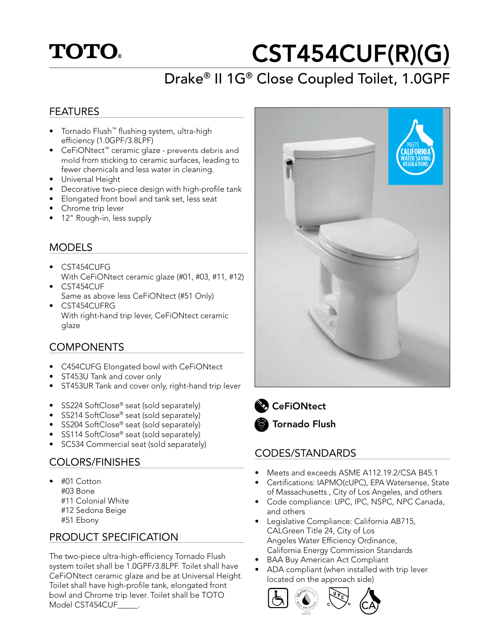# **TOTO.**

# CST454CUF(R)(G)

## Drake® II 1G® Close Coupled Toilet, 1.0GPF

#### FEATURES

- Tornado Flush™ flushing system, ultra-high efficiency (1.0GPF/3.8LPF)
- CeFiONtect™ ceramic glaze prevents debris and mold from sticking to ceramic surfaces, leading to fewer chemicals and less water in cleaning.
- Universal Height
- Decorative two-piece design with high-profile tank
- Elongated front bowl and tank set, less seat
- Chrome trip lever
- 12" Rough-in, less supply

#### MODELS

- CST454CUFG With CeFiONtect ceramic glaze (#01, #03, #11, #12)
- CST454CUF Same as above less CeFiONtect (#51 Only) • CST454CUFRG
- With right-hand trip lever, CeFiONtect ceramic glaze

#### **COMPONENTS**

- C454CUFG Elongated bowl with CeFiONtect
- ST453U Tank and cover only
- ST453UR Tank and cover only, right-hand trip lever
- SS224 SoftClose® seat (sold separately)
- SS214 SoftClose® seat (sold separately)
- SS204 SoftClose® seat (sold separately)
- SS114 SoftClose® seat (sold separately)
- SC534 Commercial seat (sold separately)

#### COLORS/FINISHES

- #01 Cotton #03 Bone
	- #11 Colonial White
	- #12 Sedona Beige
	- #51 Ebony

### PRODUCT SPECIFICATION

The two-piece ultra-high-efficiency Tornado Flush system toilet shall be 1.0GPF/3.8LPF. Toilet shall have CeFiONtect ceramic glaze and be at Universal Height. Toilet shall have high-profile tank, elongated front bowl and Chrome trip lever. Toilet shall be TOTO Model CST454CUF





**CeFiONtect** Tornado Flush

#### CODES/STANDARDS

- Meets and exceeds ASME A112.19.2/CSA B45.1
- Certifications: IAPMO(cUPC), EPA Watersense, State of Massachusetts , City of Los Angeles, and others
- Code compliance: UPC, IPC, NSPC, NPC Canada, and others
- Legislative Compliance: California AB715, CALGreen Title 24, City of Los Angeles Water Efficiency Ordinance, California Energy Commission Standards
- BAA Buy American Act Compliant
- ADA compliant (when installed with trip lever located on the approach side)